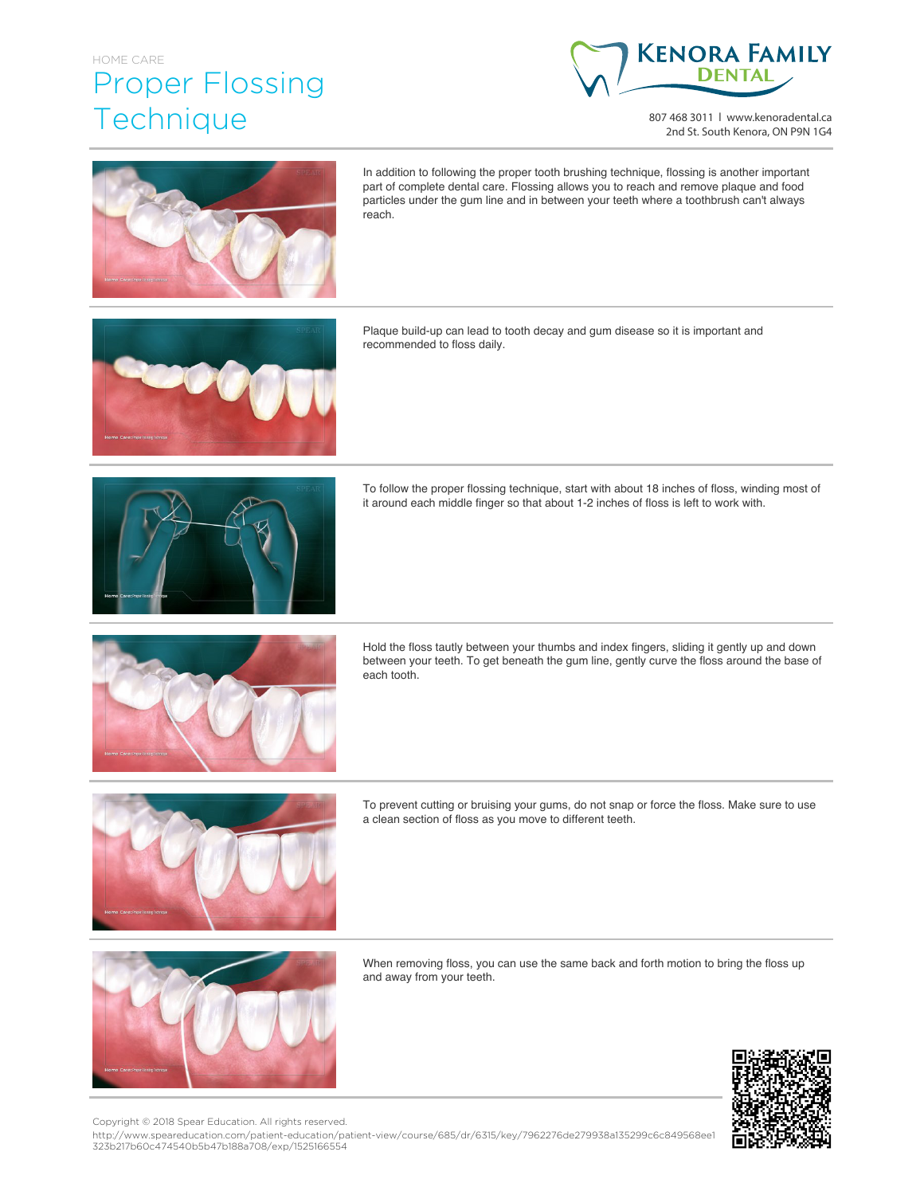## HOME CARE Proper Flossing **Technique**



807 468 3011 | www.kenoradental.ca 2nd St. South Kenora, ON P9N 1G4



In addition to following the proper tooth brushing technique, flossing is another important part of complete dental care. Flossing allows you to reach and remove plaque and food particles under the gum line and in between your teeth where a toothbrush can't always reach.



Plaque build-up can lead to tooth decay and gum disease so it is important and recommended to floss daily.



To follow the proper flossing technique, start with about 18 inches of floss, winding most of it around each middle finger so that about 1-2 inches of floss is left to work with.



Hold the floss tautly between your thumbs and index fingers, sliding it gently up and down between your teeth. To get beneath the gum line, gently curve the floss around the base of each tooth.



To prevent cutting or bruising your gums, do not snap or force the floss. Make sure to use a clean section of floss as you move to different teeth.



When removing floss, you can use the same back and forth motion to bring the floss up and away from your teeth.



Copyright © 2018 Spear Education. All rights reserved.

http://www.speareducation.com/patient-education/patient-view/course/685/dr/6315/key/7962276de279938a135299c6c849568ee1 323b217b60c474540b5b47b188a708/exp/1525166554